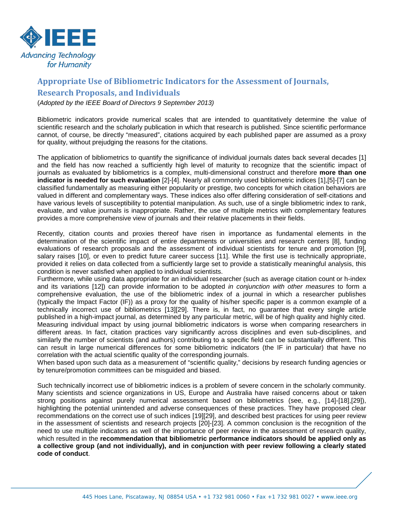

## **Appropriate Use of Bibliometric Indicators for the Assessment of Journals, Research Proposals, and Individuals**

(*Adopted by the IEEE Board of Directors 9 September 2013)*

Bibliometric indicators provide numerical scales that are intended to quantitatively determine the value of scientific research and the scholarly publication in which that research is published. Since scientific performance cannot, of course, be directly "measured", citations acquired by each published paper are assumed as a proxy for quality, without prejudging the reasons for the citations.

The application of bibliometrics to quantify the significance of individual journals dates back several decades [1] and the field has now reached a sufficiently high level of maturity to recognize that the scientific impact of journals as evaluated by bibliometrics is a complex, multi-dimensional construct and therefore **more than one indicator is needed for such evaluation** [2]-[4]. Nearly all commonly used bibliometric indices [1],[5]-[7] can be classified fundamentally as measuring either popularity or prestige, two concepts for which citation behaviors are valued in different and complementary ways. These indices also offer differing consideration of self-citations and have various levels of susceptibility to potential manipulation. As such, use of a single bibliometric index to rank, evaluate, and value journals is inappropriate. Rather, the use of multiple metrics with complementary features provides a more comprehensive view of journals and their relative placements in their fields.

Recently, citation counts and proxies thereof have risen in importance as fundamental elements in the determination of the scientific impact of entire departments or universities and research centers [8], funding evaluations of research proposals and the assessment of individual scientists for tenure and promotion [9], salary raises [10], or even to predict future career success [11]. While the first use is technically appropriate, provided it relies on data collected from a sufficiently large set to provide a statistically meaningful analysis, this condition is never satisfied when applied to individual scientists.

Furthermore, while using data appropriate for an individual researcher (such as average citation count or h-index and its variations [12]) can provide information to be adopted *in conjunction with other measures* to form a comprehensive evaluation, the use of the bibliometric index of a journal in which a researcher publishes (typically the Impact Factor (IF)) as a proxy for the quality of his/her specific paper is a common example of a technically incorrect use of bibliometrics [13][29]. There is, in fact, no guarantee that every single article published in a high-impact journal, as determined by any particular metric, will be of high quality and highly cited. Measuring individual impact by using journal bibliometric indicators is worse when comparing researchers in different areas. In fact, citation practices vary significantly across disciplines and even sub-disciplines, and similarly the number of scientists (and authors) contributing to a specific field can be substantially different. This can result in large numerical differences for some bibliometric indicators (the IF in particular) that have no correlation with the actual scientific quality of the corresponding journals.

When based upon such data as a measurement of "scientific quality," decisions by research funding agencies or by tenure/promotion committees can be misguided and biased.

Such technically incorrect use of bibliometric indices is a problem of severe concern in the scholarly community. Many scientists and science organizations in US, Europe and Australia have raised concerns about or taken strong positions against purely numerical assessment based on bibliometrics (see, e.g., [14]-[18],[29]), highlighting the potential unintended and adverse consequences of these practices. They have proposed clear recommendations on the correct use of such indices [19][29], and described best practices for using peer review in the assessment of scientists and research projects [20]-[23]. A common conclusion is the recognition of the need to use multiple indicators as well of the importance of peer review in the assessment of research quality, which resulted in the **recommendation that bibliometric performance indicators should be applied only as a collective group (and not individually), and in conjunction with peer review following a clearly stated code of conduct**.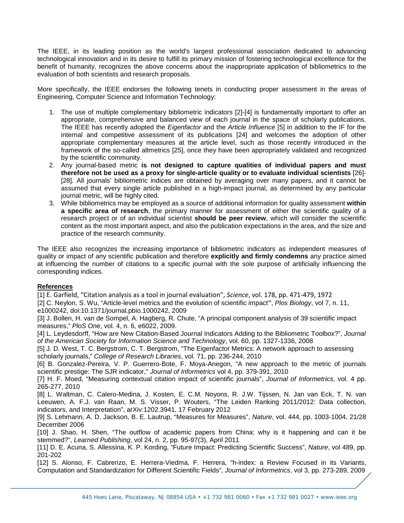The IEEE, in its leading position as the world's largest professional association dedicated to advancing technological innovation and in its desire to fulfill its primary mission of fostering technological excellence for the benefit of humanity, recognizes the above concerns about the inappropriate application of bibliometrics to the evaluation of both scientists and research proposals.

More specifically, the IEEE endorses the following tenets in conducting proper assessment in the areas of Engineering, Computer Science and Information Technology:

- 1. The use of multiple complementary bibliometric indicators [2]-[4] is fundamentally important to offer an appropriate, comprehensive and balanced view of each journal in the space of scholarly publications. The IEEE has recently adopted the *Eigenfactor* and the *Article Influence* [5] in addition to the IF for the internal and competitive assessment of its publications [24] and welcomes the adoption of other appropriate complementary measures at the article level, such as those recently introduced in the framework of the so-called altmetrics [25], once they have been appropriately validated and recognized by the scientific community.
- 2. Any journal-based metric **is not designed to capture qualities of individual papers and must therefore not be used as a proxy for single-article quality or to evaluate individual scientists** [26]- [28]. All journals' bibliometric indices are obtained by averaging over many papers, and it cannot be assumed that every single article published in a high-impact journal, as determined by any particular journal metric, will be highly cited.
- 3. While bibliometrics may be employed as a source of additional information for quality assessment **within a specific area of research**, the primary manner for assessment of either the scientific quality of a research project or of an individual scientist **should be peer review**, which will consider the scientific content as the most important aspect, and also the publication expectations in the area, and the size and practice of the research community.

The IEEE also recognizes the increasing importance of bibliometric indicators as independent measures of quality or impact of any scientific publication and therefore **explicitly and firmly condemns** any practice aimed at influencing the number of citations to a specific journal with the sole purpose of artificially influencing the corresponding indices.

## **References**

[1] E. Garfield, "Citation analysis as a tool in journal evaluation", *Science*, vol. 178, pp. 471-479, 1972

[2] C. Neylon, S. Wu, "Article-level metrics and the evolution of scientific impact'", *Plos Biology*, vol 7, n. 11, e1000242, doi:10.1371/journal.pbio.1000242, 2009

[3] J. Bollen, H. van de Sompel, A. Hagberg, R. Chute, "A principal component analysis of 39 scientific impact measures," *PloS One*, vol. 4, n. 6, e6022, 2009.

[4] L. Leydesdorff, "How are New Citation-Based Journal Indicators Adding to the Bibliometric Toolbox?", *Journal of the American Society for Information Science and Technology*, vol. 60, pp. 1327-1336, 2008

[5] J. D. West, T. C. Bergstrom, C. T. Bergstrom, "The Eigenfactor Metrics: A network approach to assessing scholarly journals," *College of Research Libraries*, vol. 71, pp. 236-244, 2010

[6] B. Gonzalez-Pereira, V. P. Guerrero-Bote, F. Moya-Anegon, "A new approach to the metric of journals scientific prestige: The SJR indicator,'' *Journal of Informetrics* vol 4, pp. 379-391, 2010

[7] H. F. Moed, "Measuring contextual citation impact of scientific journals", *Journal of Informetrics*, vol. 4 pp. 265-277, 2010

[8] L. Waltman, C. Calero-Medina, J. Kosten, E. C.M. Noyons, R. J.W. Tijssen, N. Jan van Eck, T. N. van Leeuwen, A. F.J. van Raan, M. S. Visser, P. Wouters, "The Leiden Ranking 2011/2012: Data collection, indicators, and Interpretation", arXiv:1202.3941, 17 February 2012

[9] S. Lehmann, A. D. Jackson, B. E. Lautrup, "Measures for Measures", *Nature*, vol. 444, pp. 1003-1004, 21/28 December 2006

[10] J. Shao, H. Shen, "The outflow of academic papers from China: why is it happening and can it be stemmed?", *Learned Publishing*, vol 24, n. 2, pp. 95-97(3), April 2011

[11] D. E. Acuna, S. Allessina, K. P. Kording, "Future Impact: Predicting Scientific Success", *Nature*, vol 489, pp. 201-202

[12] S. Alonso, F. Cabrerizo, E. Herrera-Viedma, F. Herrera, "h-index: a Review Focused in its Variants, Computation and Standardization for Different Scientific Fields", *Journal of Informetrics*, vol 3, pp. 273-289, 2009